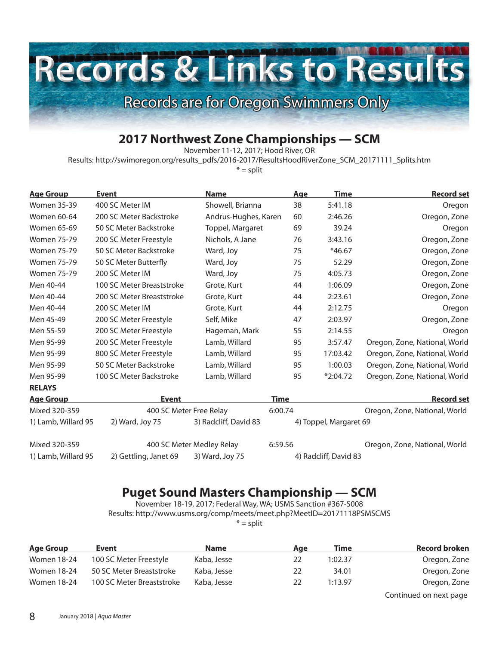## Records & Links to Results Records are for Oregon Swimmers Only

## **2017 Northwest Zone Championships — SCM**

November 11-12, 2017; Hood River, OR

Results: http://swimoregon.org/results\_pdfs/2016-2017/ResultsHoodRiverZone\_SCM\_20171111\_Splits.htm

 $* =$ split

| <b>Age Group</b>   | <b>Event</b>              | <b>Name</b>          | <b>Age</b> | Time       | <b>Record set</b>             |
|--------------------|---------------------------|----------------------|------------|------------|-------------------------------|
| <b>Women 35-39</b> | 400 SC Meter IM           | Showell, Brianna     | 38         | 5:41.18    | Oregon                        |
| Women 60-64        | 200 SC Meter Backstroke   | Andrus-Hughes, Karen | 60         | 2:46.26    | Oregon, Zone                  |
| Women 65-69        | 50 SC Meter Backstroke    | Toppel, Margaret     | 69         | 39.24      | Oregon                        |
| Women 75-79        | 200 SC Meter Freestyle    | Nichols, A Jane      | 76         | 3:43.16    | Oregon, Zone                  |
| Women 75-79        | 50 SC Meter Backstroke    | Ward, Joy            | 75         | $*46.67$   | Oregon, Zone                  |
| Women 75-79        | 50 SC Meter Butterfly     | Ward, Joy            | 75         | 52.29      | Oregon, Zone                  |
| Women 75-79        | 200 SC Meter IM           | Ward, Joy            | 75         | 4:05.73    | Oregon, Zone                  |
| Men 40-44          | 100 SC Meter Breaststroke | Grote, Kurt          | 44         | 1:06.09    | Oregon, Zone                  |
| Men 40-44          | 200 SC Meter Breaststroke | Grote, Kurt          | 44         | 2:23.61    | Oregon, Zone                  |
| Men 40-44          | 200 SC Meter IM           | Grote, Kurt          | 44         | 2:12.75    | Oregon                        |
| Men 45-49          | 200 SC Meter Freestyle    | Self, Mike           | 47         | 2:03.97    | Oregon, Zone                  |
| Men 55-59          | 200 SC Meter Freestyle    | Hageman, Mark        | 55         | 2:14.55    | Oregon                        |
| Men 95-99          | 200 SC Meter Freestyle    | Lamb, Willard        | 95         | 3:57.47    | Oregon, Zone, National, World |
| Men 95-99          | 800 SC Meter Freestyle    | Lamb, Willard        | 95         | 17:03.42   | Oregon, Zone, National, World |
| Men 95-99          | 50 SC Meter Backstroke    | Lamb, Willard        | 95         | 1:00.03    | Oregon, Zone, National, World |
| Men 95-99          | 100 SC Meter Backstroke   | Lamb, Willard        | 95         | $*2:04.72$ | Oregon, Zone, National, World |
| <b>RELAYS</b>      |                           |                      |            |            |                               |
|                    |                           |                      |            |            |                               |

| <b>Age Group</b>    | Event                                    |                           | Time    | <b>Record set</b>             |
|---------------------|------------------------------------------|---------------------------|---------|-------------------------------|
| Mixed 320-359       | 400 SC Meter Free Relay                  |                           | 6:00.74 | Oregon, Zone, National, World |
| 1) Lamb, Willard 95 | 3) Radcliff, David 83<br>2) Ward, Joy 75 |                           |         | 4) Toppel, Margaret 69        |
| Mixed 320-359       |                                          | 400 SC Meter Medley Relay | 6:59.56 | Oregon, Zone, National, World |
| 1) Lamb, Willard 95 | 2) Gettling, Janet 69                    | 3) Ward, Joy 75           |         | 4) Radcliff, David 83         |

## **Puget Sound Masters Championship — SCM**

November 18-19, 2017; Federal Way, WA; USMS Sanction #367-S008 Results: http://www.usms.org/comp/meets/meet.php?MeetID=20171118PSMSCMS

 $* =$ split

| <u>Age Group</u>   | Event                     | <b>Name</b> | Aae | Time    | <b>Record broken</b>   |
|--------------------|---------------------------|-------------|-----|---------|------------------------|
| <b>Women 18-24</b> | 100 SC Meter Freestyle    | Kaba, Jesse | 22  | 1:02.37 | Oregon, Zone           |
| Women 18-24        | 50 SC Meter Breaststroke  | Kaba, Jesse | 22  | 34.01   | Oregon, Zone           |
| <b>Women 18-24</b> | 100 SC Meter Breaststroke | Kaba, Jesse | 22  | 1:13.97 | Oregon, Zone           |
|                    |                           |             |     |         | Continued on next page |

8 January 2018 | Aqua Master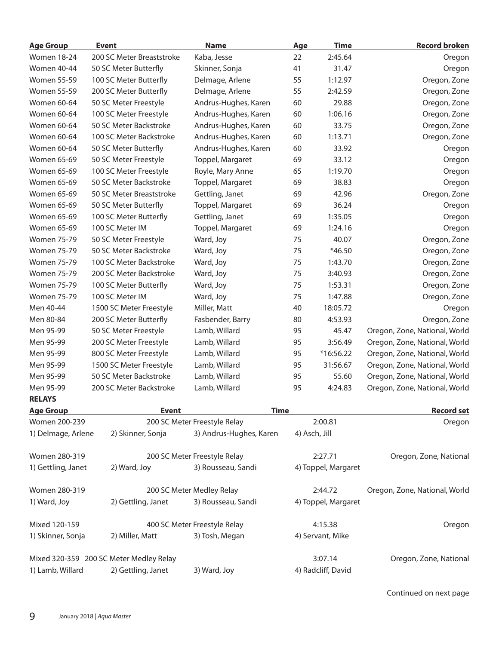| <b>Age Group</b>   | <b>Event</b>                            | <b>Name</b>                  | <u>Age</u>    | <b>Time</b>         | <b>Record broken</b>          |
|--------------------|-----------------------------------------|------------------------------|---------------|---------------------|-------------------------------|
| <b>Women 18-24</b> | 200 SC Meter Breaststroke               | Kaba, Jesse                  | 22            | 2:45.64             | Oregon                        |
| Women 40-44        | 50 SC Meter Butterfly                   | Skinner, Sonja               | 41            | 31.47               | Oregon                        |
| <b>Women 55-59</b> | 100 SC Meter Butterfly                  | Delmage, Arlene              | 55            | 1:12.97             | Oregon, Zone                  |
| <b>Women 55-59</b> | 200 SC Meter Butterfly                  | Delmage, Arlene              | 55            | 2:42.59             | Oregon, Zone                  |
| Women 60-64        | 50 SC Meter Freestyle                   | Andrus-Hughes, Karen         | 60            | 29.88               | Oregon, Zone                  |
| Women 60-64        | 100 SC Meter Freestyle                  | Andrus-Hughes, Karen         | 60            | 1:06.16             | Oregon, Zone                  |
| Women 60-64        | 50 SC Meter Backstroke                  | Andrus-Hughes, Karen         | 60            | 33.75               | Oregon, Zone                  |
| Women 60-64        | 100 SC Meter Backstroke                 | Andrus-Hughes, Karen         | 60            | 1:13.71             | Oregon, Zone                  |
| Women 60-64        | 50 SC Meter Butterfly                   | Andrus-Hughes, Karen         | 60            | 33.92               | Oregon                        |
| Women 65-69        | 50 SC Meter Freestyle                   | Toppel, Margaret             | 69            | 33.12               | Oregon                        |
| Women 65-69        | 100 SC Meter Freestyle                  | Royle, Mary Anne             | 65            | 1:19.70             | Oregon                        |
| Women 65-69        | 50 SC Meter Backstroke                  | Toppel, Margaret             | 69            | 38.83               | Oregon                        |
| Women 65-69        | 50 SC Meter Breaststroke                | Gettling, Janet              | 69            | 42.96               | Oregon, Zone                  |
| Women 65-69        | 50 SC Meter Butterfly                   | Toppel, Margaret             | 69            | 36.24               | Oregon                        |
| Women 65-69        | 100 SC Meter Butterfly                  | Gettling, Janet              | 69            | 1:35.05             | Oregon                        |
| Women 65-69        | 100 SC Meter IM                         | Toppel, Margaret             | 69            | 1:24.16             | Oregon                        |
| Women 75-79        | 50 SC Meter Freestyle                   | Ward, Joy                    | 75            | 40.07               | Oregon, Zone                  |
| <b>Women 75-79</b> | 50 SC Meter Backstroke                  | Ward, Joy                    | 75            | $*46.50$            | Oregon, Zone                  |
| <b>Women 75-79</b> | 100 SC Meter Backstroke                 | Ward, Joy                    | 75            | 1:43.70             | Oregon, Zone                  |
| Women 75-79        | 200 SC Meter Backstroke                 | Ward, Joy                    | 75            | 3:40.93             | Oregon, Zone                  |
| <b>Women 75-79</b> | 100 SC Meter Butterfly                  | Ward, Joy                    | 75            | 1:53.31             | Oregon, Zone                  |
| <b>Women 75-79</b> | 100 SC Meter IM                         | Ward, Joy                    | 75            | 1:47.88             | Oregon, Zone                  |
| Men 40-44          | 1500 SC Meter Freestyle                 | Miller, Matt                 | 40            | 18:05.72            | Oregon                        |
| Men 80-84          | 200 SC Meter Butterfly                  | Fasbender, Barry             | 80            | 4:53.93             | Oregon, Zone                  |
| Men 95-99          | 50 SC Meter Freestyle                   | Lamb, Willard                | 95            | 45.47               | Oregon, Zone, National, World |
| Men 95-99          | 200 SC Meter Freestyle                  | Lamb, Willard                | 95            | 3:56.49             | Oregon, Zone, National, World |
| Men 95-99          | 800 SC Meter Freestyle                  | Lamb, Willard                | 95            | *16:56.22           | Oregon, Zone, National, World |
| Men 95-99          | 1500 SC Meter Freestyle                 | Lamb, Willard                | 95            | 31:56.67            | Oregon, Zone, National, World |
| Men 95-99          | 50 SC Meter Backstroke                  | Lamb, Willard                | 95            | 55.60               | Oregon, Zone, National, World |
| Men 95-99          | 200 SC Meter Backstroke                 | Lamb, Willard                | 95            | 4:24.83             | Oregon, Zone, National, World |
| <b>RELAYS</b>      |                                         |                              |               |                     |                               |
| <b>Age Group</b>   | <b>Event</b>                            | <b>Time</b>                  |               |                     | <b>Record set</b>             |
| Women 200-239      |                                         | 200 SC Meter Freestyle Relay |               | 2:00.81             | Oregon                        |
| 1) Delmage, Arlene | 2) Skinner, Sonja                       | 3) Andrus-Hughes, Karen      | 4) Asch, Jill |                     |                               |
| Women 280-319      |                                         | 200 SC Meter Freestyle Relay |               | 2:27.71             | Oregon, Zone, National        |
| 1) Gettling, Janet | 2) Ward, Joy                            | 3) Rousseau, Sandi           |               | 4) Toppel, Margaret |                               |
| Women 280-319      |                                         | 200 SC Meter Medley Relay    |               | 2:44.72             | Oregon, Zone, National, World |
| 1) Ward, Joy       | 2) Gettling, Janet                      | 3) Rousseau, Sandi           |               | 4) Toppel, Margaret |                               |
| Mixed 120-159      |                                         | 400 SC Meter Freestyle Relay |               | 4:15.38             | Oregon                        |
| 1) Skinner, Sonja  | 2) Miller, Matt                         | 3) Tosh, Megan               |               | 4) Servant, Mike    |                               |
|                    | Mixed 320-359 200 SC Meter Medley Relay |                              |               | 3:07.14             | Oregon, Zone, National        |
| 1) Lamb, Willard   | 2) Gettling, Janet                      | 3) Ward, Joy                 |               | 4) Radcliff, David  |                               |

Continued on next page